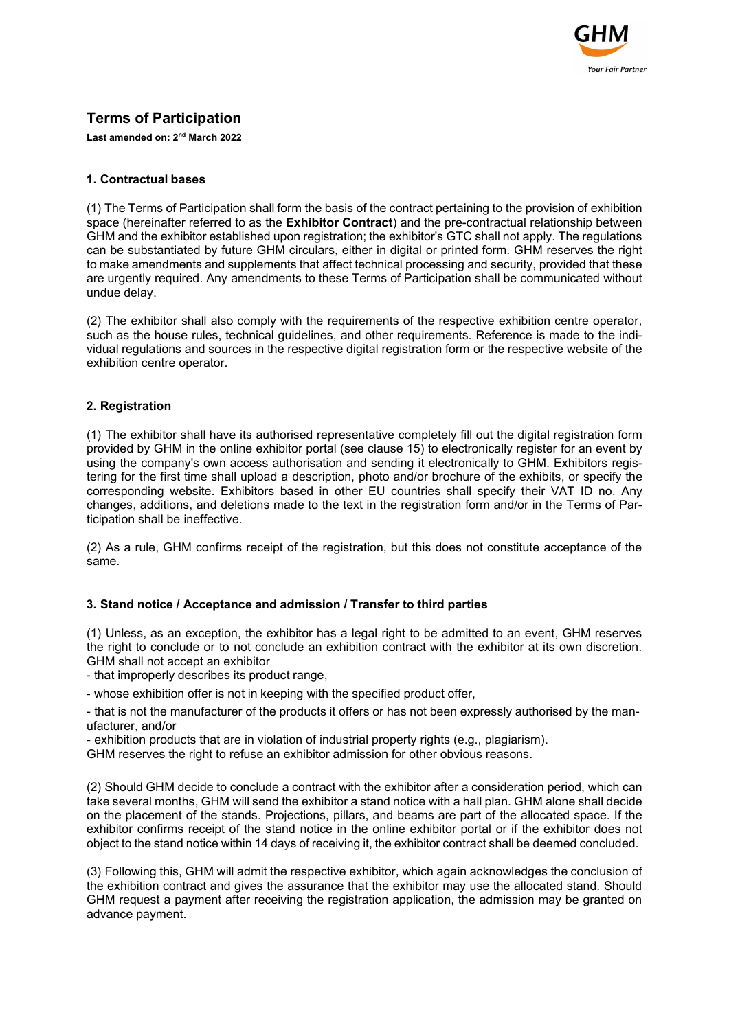

# Terms of Participation

Last amended on: 2nd March 2022

# 1. Contractual bases

(1) The Terms of Participation shall form the basis of the contract pertaining to the provision of exhibition space (hereinafter referred to as the **Exhibitor Contract**) and the pre-contractual relationship between GHM and the exhibitor established upon registration; the exhibitor's GTC shall not apply. The regulations can be substantiated by future GHM circulars, either in digital or printed form. GHM reserves the right to make amendments and supplements that affect technical processing and security, provided that these are urgently required. Any amendments to these Terms of Participation shall be communicated without undue delay.

(2) The exhibitor shall also comply with the requirements of the respective exhibition centre operator, such as the house rules, technical guidelines, and other requirements. Reference is made to the individual regulations and sources in the respective digital registration form or the respective website of the exhibition centre operator.

# 2. Registration

(1) The exhibitor shall have its authorised representative completely fill out the digital registration form provided by GHM in the online exhibitor portal (see clause 15) to electronically register for an event by using the company's own access authorisation and sending it electronically to GHM. Exhibitors registering for the first time shall upload a description, photo and/or brochure of the exhibits, or specify the corresponding website. Exhibitors based in other EU countries shall specify their VAT ID no. Any changes, additions, and deletions made to the text in the registration form and/or in the Terms of Participation shall be ineffective.

(2) As a rule, GHM confirms receipt of the registration, but this does not constitute acceptance of the same.

# 3. Stand notice / Acceptance and admission / Transfer to third parties

(1) Unless, as an exception, the exhibitor has a legal right to be admitted to an event, GHM reserves the right to conclude or to not conclude an exhibition contract with the exhibitor at its own discretion. GHM shall not accept an exhibitor

- that improperly describes its product range,

- whose exhibition offer is not in keeping with the specified product offer,

- that is not the manufacturer of the products it offers or has not been expressly authorised by the manufacturer, and/or

- exhibition products that are in violation of industrial property rights (e.g., plagiarism).

GHM reserves the right to refuse an exhibitor admission for other obvious reasons.

(2) Should GHM decide to conclude a contract with the exhibitor after a consideration period, which can take several months, GHM will send the exhibitor a stand notice with a hall plan. GHM alone shall decide on the placement of the stands. Projections, pillars, and beams are part of the allocated space. If the exhibitor confirms receipt of the stand notice in the online exhibitor portal or if the exhibitor does not object to the stand notice within 14 days of receiving it, the exhibitor contract shall be deemed concluded.

(3) Following this, GHM will admit the respective exhibitor, which again acknowledges the conclusion of the exhibition contract and gives the assurance that the exhibitor may use the allocated stand. Should GHM request a payment after receiving the registration application, the admission may be granted on advance payment.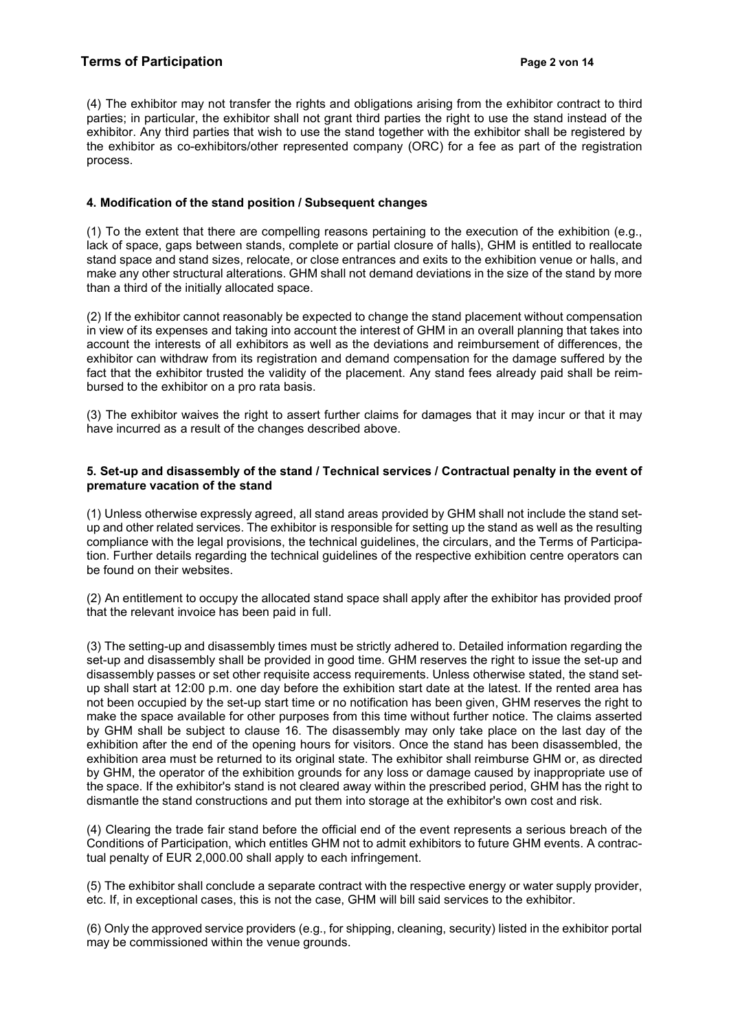(4) The exhibitor may not transfer the rights and obligations arising from the exhibitor contract to third parties; in particular, the exhibitor shall not grant third parties the right to use the stand instead of the exhibitor. Any third parties that wish to use the stand together with the exhibitor shall be registered by the exhibitor as co-exhibitors/other represented company (ORC) for a fee as part of the registration process.

# 4. Modification of the stand position / Subsequent changes

(1) To the extent that there are compelling reasons pertaining to the execution of the exhibition (e.g., lack of space, gaps between stands, complete or partial closure of halls), GHM is entitled to reallocate stand space and stand sizes, relocate, or close entrances and exits to the exhibition venue or halls, and make any other structural alterations. GHM shall not demand deviations in the size of the stand by more than a third of the initially allocated space.

(2) If the exhibitor cannot reasonably be expected to change the stand placement without compensation in view of its expenses and taking into account the interest of GHM in an overall planning that takes into account the interests of all exhibitors as well as the deviations and reimbursement of differences, the exhibitor can withdraw from its registration and demand compensation for the damage suffered by the fact that the exhibitor trusted the validity of the placement. Any stand fees already paid shall be reimbursed to the exhibitor on a pro rata basis.

(3) The exhibitor waives the right to assert further claims for damages that it may incur or that it may have incurred as a result of the changes described above.

### 5. Set-up and disassembly of the stand / Technical services / Contractual penalty in the event of premature vacation of the stand

(1) Unless otherwise expressly agreed, all stand areas provided by GHM shall not include the stand setup and other related services. The exhibitor is responsible for setting up the stand as well as the resulting compliance with the legal provisions, the technical guidelines, the circulars, and the Terms of Participation. Further details regarding the technical guidelines of the respective exhibition centre operators can be found on their websites.

(2) An entitlement to occupy the allocated stand space shall apply after the exhibitor has provided proof that the relevant invoice has been paid in full.

(3) The setting-up and disassembly times must be strictly adhered to. Detailed information regarding the set-up and disassembly shall be provided in good time. GHM reserves the right to issue the set-up and disassembly passes or set other requisite access requirements. Unless otherwise stated, the stand setup shall start at 12:00 p.m. one day before the exhibition start date at the latest. If the rented area has not been occupied by the set-up start time or no notification has been given, GHM reserves the right to make the space available for other purposes from this time without further notice. The claims asserted by GHM shall be subject to clause 16. The disassembly may only take place on the last day of the exhibition after the end of the opening hours for visitors. Once the stand has been disassembled, the exhibition area must be returned to its original state. The exhibitor shall reimburse GHM or, as directed by GHM, the operator of the exhibition grounds for any loss or damage caused by inappropriate use of the space. If the exhibitor's stand is not cleared away within the prescribed period, GHM has the right to dismantle the stand constructions and put them into storage at the exhibitor's own cost and risk.

(4) Clearing the trade fair stand before the official end of the event represents a serious breach of the Conditions of Participation, which entitles GHM not to admit exhibitors to future GHM events. A contractual penalty of EUR 2,000.00 shall apply to each infringement.

(5) The exhibitor shall conclude a separate contract with the respective energy or water supply provider, etc. If, in exceptional cases, this is not the case, GHM will bill said services to the exhibitor.

(6) Only the approved service providers (e.g., for shipping, cleaning, security) listed in the exhibitor portal may be commissioned within the venue grounds.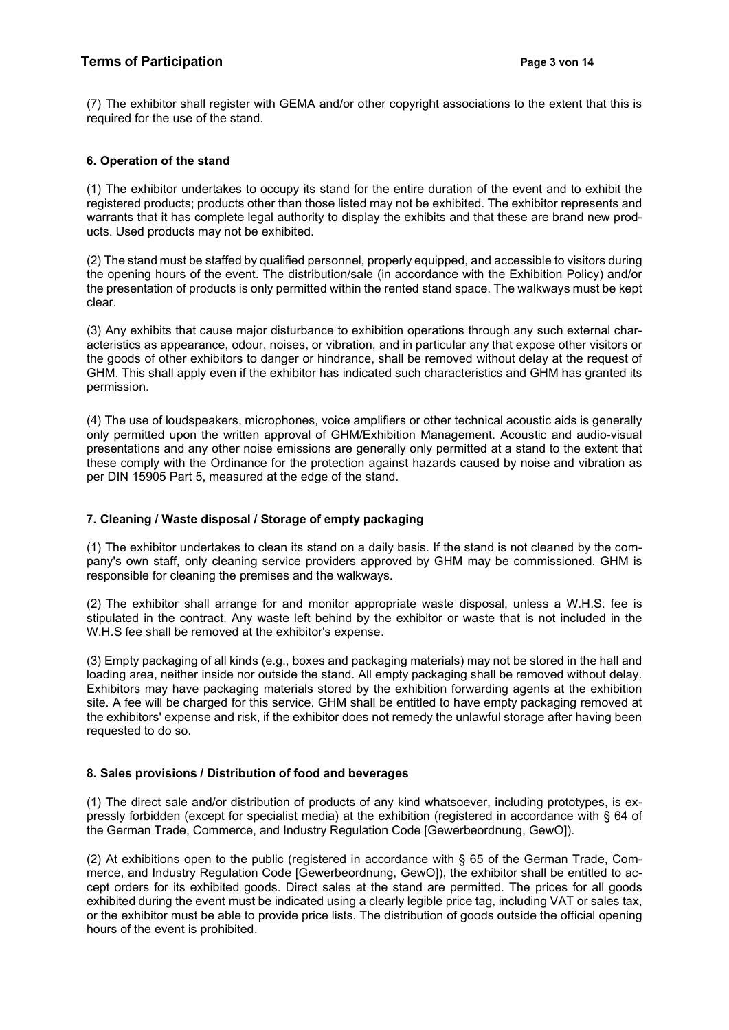(7) The exhibitor shall register with GEMA and/or other copyright associations to the extent that this is required for the use of the stand.

## 6. Operation of the stand

(1) The exhibitor undertakes to occupy its stand for the entire duration of the event and to exhibit the registered products; products other than those listed may not be exhibited. The exhibitor represents and warrants that it has complete legal authority to display the exhibits and that these are brand new products. Used products may not be exhibited.

(2) The stand must be staffed by qualified personnel, properly equipped, and accessible to visitors during the opening hours of the event. The distribution/sale (in accordance with the Exhibition Policy) and/or the presentation of products is only permitted within the rented stand space. The walkways must be kept clear.

(3) Any exhibits that cause major disturbance to exhibition operations through any such external characteristics as appearance, odour, noises, or vibration, and in particular any that expose other visitors or the goods of other exhibitors to danger or hindrance, shall be removed without delay at the request of GHM. This shall apply even if the exhibitor has indicated such characteristics and GHM has granted its permission.

(4) The use of loudspeakers, microphones, voice amplifiers or other technical acoustic aids is generally only permitted upon the written approval of GHM/Exhibition Management. Acoustic and audio-visual presentations and any other noise emissions are generally only permitted at a stand to the extent that these comply with the Ordinance for the protection against hazards caused by noise and vibration as per DIN 15905 Part 5, measured at the edge of the stand.

## 7. Cleaning / Waste disposal / Storage of empty packaging

(1) The exhibitor undertakes to clean its stand on a daily basis. If the stand is not cleaned by the company's own staff, only cleaning service providers approved by GHM may be commissioned. GHM is responsible for cleaning the premises and the walkways.

(2) The exhibitor shall arrange for and monitor appropriate waste disposal, unless a W.H.S. fee is stipulated in the contract. Any waste left behind by the exhibitor or waste that is not included in the W.H.S fee shall be removed at the exhibitor's expense.

(3) Empty packaging of all kinds (e.g., boxes and packaging materials) may not be stored in the hall and loading area, neither inside nor outside the stand. All empty packaging shall be removed without delay. Exhibitors may have packaging materials stored by the exhibition forwarding agents at the exhibition site. A fee will be charged for this service. GHM shall be entitled to have empty packaging removed at the exhibitors' expense and risk, if the exhibitor does not remedy the unlawful storage after having been requested to do so.

#### 8. Sales provisions / Distribution of food and beverages

(1) The direct sale and/or distribution of products of any kind whatsoever, including prototypes, is expressly forbidden (except for specialist media) at the exhibition (registered in accordance with § 64 of the German Trade, Commerce, and Industry Regulation Code [Gewerbeordnung, GewO]).

(2) At exhibitions open to the public (registered in accordance with § 65 of the German Trade, Commerce, and Industry Regulation Code [Gewerbeordnung, GewO]), the exhibitor shall be entitled to accept orders for its exhibited goods. Direct sales at the stand are permitted. The prices for all goods exhibited during the event must be indicated using a clearly legible price tag, including VAT or sales tax, or the exhibitor must be able to provide price lists. The distribution of goods outside the official opening hours of the event is prohibited.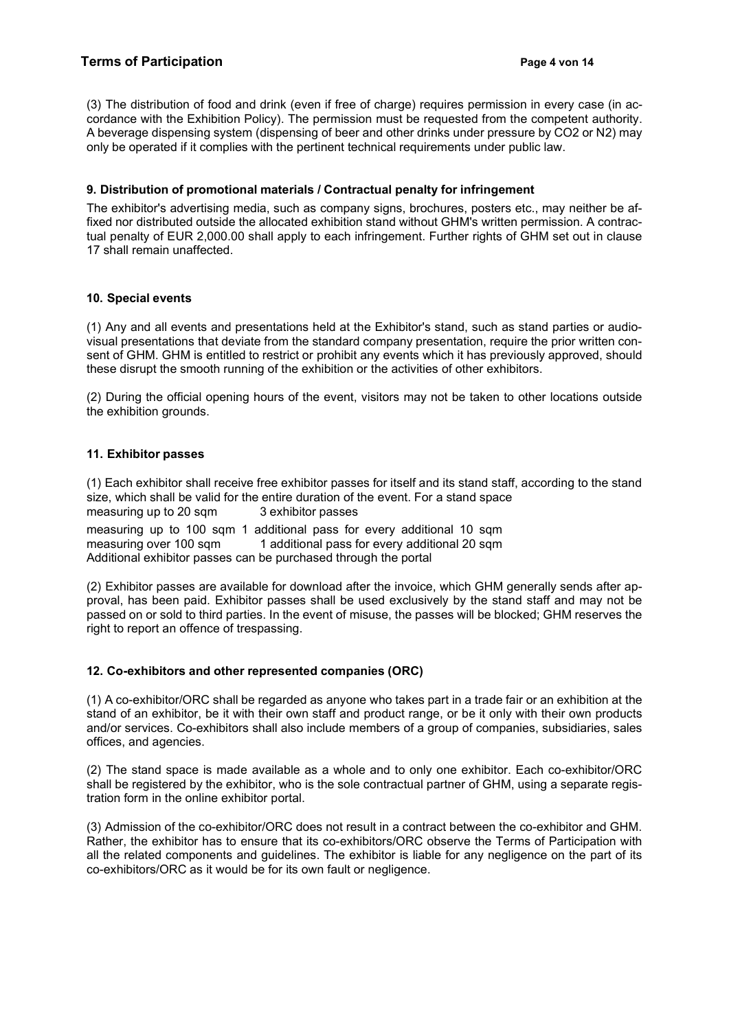(3) The distribution of food and drink (even if free of charge) requires permission in every case (in accordance with the Exhibition Policy). The permission must be requested from the competent authority. A beverage dispensing system (dispensing of beer and other drinks under pressure by CO2 or N2) may only be operated if it complies with the pertinent technical requirements under public law.

## 9. Distribution of promotional materials / Contractual penalty for infringement

The exhibitor's advertising media, such as company signs, brochures, posters etc., may neither be affixed nor distributed outside the allocated exhibition stand without GHM's written permission. A contractual penalty of EUR 2,000.00 shall apply to each infringement. Further rights of GHM set out in clause 17 shall remain unaffected.

#### 10. Special events

(1) Any and all events and presentations held at the Exhibitor's stand, such as stand parties or audiovisual presentations that deviate from the standard company presentation, require the prior written consent of GHM. GHM is entitled to restrict or prohibit any events which it has previously approved, should these disrupt the smooth running of the exhibition or the activities of other exhibitors.

(2) During the official opening hours of the event, visitors may not be taken to other locations outside the exhibition grounds.

### 11. Exhibitor passes

(1) Each exhibitor shall receive free exhibitor passes for itself and its stand staff, according to the stand size, which shall be valid for the entire duration of the event. For a stand space measuring up to 20 sqm 3 exhibitor passes

measuring up to 100 sqm 1 additional pass for every additional 10 sqm measuring over 100 sqm 1 additional pass for every additional 20 sqm Additional exhibitor passes can be purchased through the portal

(2) Exhibitor passes are available for download after the invoice, which GHM generally sends after approval, has been paid. Exhibitor passes shall be used exclusively by the stand staff and may not be passed on or sold to third parties. In the event of misuse, the passes will be blocked; GHM reserves the right to report an offence of trespassing.

# 12. Co-exhibitors and other represented companies (ORC)

(1) A co-exhibitor/ORC shall be regarded as anyone who takes part in a trade fair or an exhibition at the stand of an exhibitor, be it with their own staff and product range, or be it only with their own products and/or services. Co-exhibitors shall also include members of a group of companies, subsidiaries, sales offices, and agencies.

(2) The stand space is made available as a whole and to only one exhibitor. Each co-exhibitor/ORC shall be registered by the exhibitor, who is the sole contractual partner of GHM, using a separate registration form in the online exhibitor portal.

(3) Admission of the co-exhibitor/ORC does not result in a contract between the co-exhibitor and GHM. Rather, the exhibitor has to ensure that its co-exhibitors/ORC observe the Terms of Participation with all the related components and guidelines. The exhibitor is liable for any negligence on the part of its co-exhibitors/ORC as it would be for its own fault or negligence.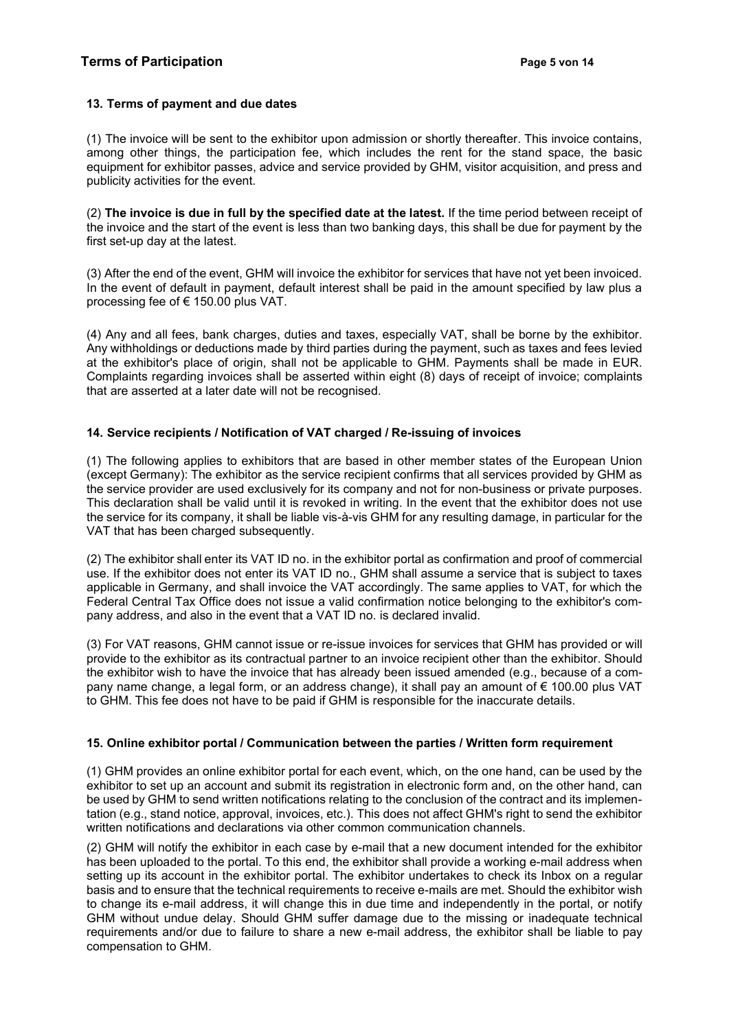# 13. Terms of payment and due dates

(1) The invoice will be sent to the exhibitor upon admission or shortly thereafter. This invoice contains, among other things, the participation fee, which includes the rent for the stand space, the basic equipment for exhibitor passes, advice and service provided by GHM, visitor acquisition, and press and publicity activities for the event.

(2) The invoice is due in full by the specified date at the latest. If the time period between receipt of the invoice and the start of the event is less than two banking days, this shall be due for payment by the first set-up day at the latest.

(3) After the end of the event, GHM will invoice the exhibitor for services that have not yet been invoiced. In the event of default in payment, default interest shall be paid in the amount specified by law plus a processing fee of € 150.00 plus VAT.

(4) Any and all fees, bank charges, duties and taxes, especially VAT, shall be borne by the exhibitor. Any withholdings or deductions made by third parties during the payment, such as taxes and fees levied at the exhibitor's place of origin, shall not be applicable to GHM. Payments shall be made in EUR. Complaints regarding invoices shall be asserted within eight (8) days of receipt of invoice; complaints that are asserted at a later date will not be recognised.

# 14. Service recipients / Notification of VAT charged / Re-issuing of invoices

(1) The following applies to exhibitors that are based in other member states of the European Union (except Germany): The exhibitor as the service recipient confirms that all services provided by GHM as the service provider are used exclusively for its company and not for non-business or private purposes. This declaration shall be valid until it is revoked in writing. In the event that the exhibitor does not use the service for its company, it shall be liable vis-à-vis GHM for any resulting damage, in particular for the VAT that has been charged subsequently.

(2) The exhibitor shall enter its VAT ID no. in the exhibitor portal as confirmation and proof of commercial use. If the exhibitor does not enter its VAT ID no., GHM shall assume a service that is subject to taxes applicable in Germany, and shall invoice the VAT accordingly. The same applies to VAT, for which the Federal Central Tax Office does not issue a valid confirmation notice belonging to the exhibitor's company address, and also in the event that a VAT ID no. is declared invalid.

(3) For VAT reasons, GHM cannot issue or re-issue invoices for services that GHM has provided or will provide to the exhibitor as its contractual partner to an invoice recipient other than the exhibitor. Should the exhibitor wish to have the invoice that has already been issued amended (e.g., because of a company name change, a legal form, or an address change), it shall pay an amount of € 100.00 plus VAT to GHM. This fee does not have to be paid if GHM is responsible for the inaccurate details.

# 15. Online exhibitor portal / Communication between the parties / Written form requirement

(1) GHM provides an online exhibitor portal for each event, which, on the one hand, can be used by the exhibitor to set up an account and submit its registration in electronic form and, on the other hand, can be used by GHM to send written notifications relating to the conclusion of the contract and its implementation (e.g., stand notice, approval, invoices, etc.). This does not affect GHM's right to send the exhibitor written notifications and declarations via other common communication channels.

(2) GHM will notify the exhibitor in each case by e-mail that a new document intended for the exhibitor has been uploaded to the portal. To this end, the exhibitor shall provide a working e-mail address when setting up its account in the exhibitor portal. The exhibitor undertakes to check its Inbox on a regular basis and to ensure that the technical requirements to receive e-mails are met. Should the exhibitor wish to change its e-mail address, it will change this in due time and independently in the portal, or notify GHM without undue delay. Should GHM suffer damage due to the missing or inadequate technical requirements and/or due to failure to share a new e-mail address, the exhibitor shall be liable to pay compensation to GHM.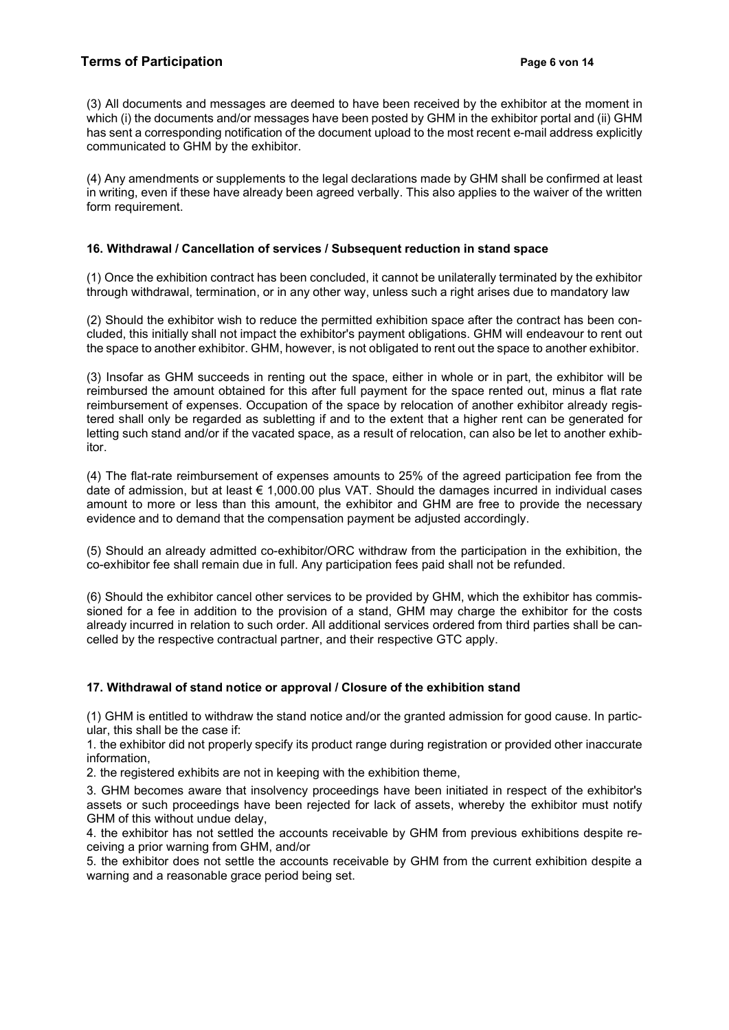(3) All documents and messages are deemed to have been received by the exhibitor at the moment in which (i) the documents and/or messages have been posted by GHM in the exhibitor portal and (ii) GHM has sent a corresponding notification of the document upload to the most recent e-mail address explicitly communicated to GHM by the exhibitor.

(4) Any amendments or supplements to the legal declarations made by GHM shall be confirmed at least in writing, even if these have already been agreed verbally. This also applies to the waiver of the written form requirement.

# 16. Withdrawal / Cancellation of services / Subsequent reduction in stand space

(1) Once the exhibition contract has been concluded, it cannot be unilaterally terminated by the exhibitor through withdrawal, termination, or in any other way, unless such a right arises due to mandatory law

(2) Should the exhibitor wish to reduce the permitted exhibition space after the contract has been concluded, this initially shall not impact the exhibitor's payment obligations. GHM will endeavour to rent out the space to another exhibitor. GHM, however, is not obligated to rent out the space to another exhibitor.

(3) Insofar as GHM succeeds in renting out the space, either in whole or in part, the exhibitor will be reimbursed the amount obtained for this after full payment for the space rented out, minus a flat rate reimbursement of expenses. Occupation of the space by relocation of another exhibitor already registered shall only be regarded as subletting if and to the extent that a higher rent can be generated for letting such stand and/or if the vacated space, as a result of relocation, can also be let to another exhibitor.

(4) The flat-rate reimbursement of expenses amounts to 25% of the agreed participation fee from the date of admission, but at least € 1,000.00 plus VAT. Should the damages incurred in individual cases amount to more or less than this amount, the exhibitor and GHM are free to provide the necessary evidence and to demand that the compensation payment be adjusted accordingly.

(5) Should an already admitted co-exhibitor/ORC withdraw from the participation in the exhibition, the co-exhibitor fee shall remain due in full. Any participation fees paid shall not be refunded.

(6) Should the exhibitor cancel other services to be provided by GHM, which the exhibitor has commissioned for a fee in addition to the provision of a stand, GHM may charge the exhibitor for the costs already incurred in relation to such order. All additional services ordered from third parties shall be cancelled by the respective contractual partner, and their respective GTC apply.

# 17. Withdrawal of stand notice or approval / Closure of the exhibition stand

(1) GHM is entitled to withdraw the stand notice and/or the granted admission for good cause. In particular, this shall be the case if:

1. the exhibitor did not properly specify its product range during registration or provided other inaccurate information,

2. the registered exhibits are not in keeping with the exhibition theme,

3. GHM becomes aware that insolvency proceedings have been initiated in respect of the exhibitor's assets or such proceedings have been rejected for lack of assets, whereby the exhibitor must notify GHM of this without undue delay,

4. the exhibitor has not settled the accounts receivable by GHM from previous exhibitions despite receiving a prior warning from GHM, and/or

5. the exhibitor does not settle the accounts receivable by GHM from the current exhibition despite a warning and a reasonable grace period being set.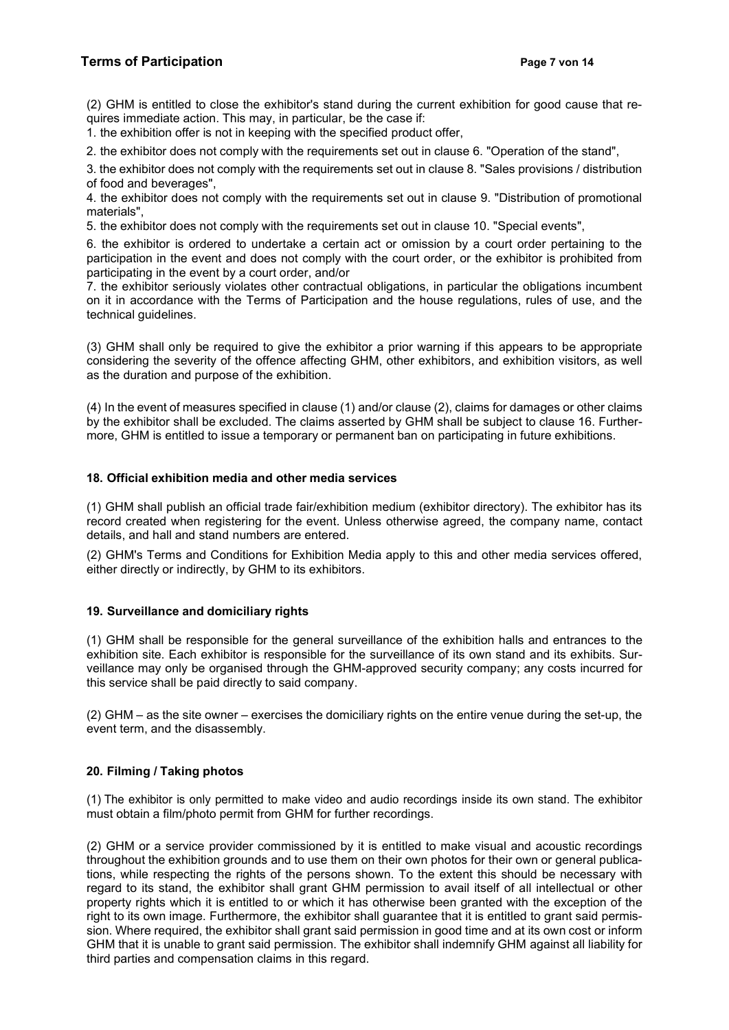# Terms of Participation **Page 7 von 14** and 20 and 20 and 20 and 20 and 20 and 20 and 20 and 20 and 20 and 20 and 20 and 20 and 20 and 20 and 20 and 20 and 20 and 20 and 20 and 20 and 20 and 20 and 20 and 20 and 20 and 20 a

(2) GHM is entitled to close the exhibitor's stand during the current exhibition for good cause that requires immediate action. This may, in particular, be the case if:

1. the exhibition offer is not in keeping with the specified product offer,

2. the exhibitor does not comply with the requirements set out in clause 6. "Operation of the stand",

3. the exhibitor does not comply with the requirements set out in clause 8. "Sales provisions / distribution of food and beverages",

4. the exhibitor does not comply with the requirements set out in clause 9. "Distribution of promotional materials",

5. the exhibitor does not comply with the requirements set out in clause 10. "Special events",

6. the exhibitor is ordered to undertake a certain act or omission by a court order pertaining to the participation in the event and does not comply with the court order, or the exhibitor is prohibited from participating in the event by a court order, and/or

7. the exhibitor seriously violates other contractual obligations, in particular the obligations incumbent on it in accordance with the Terms of Participation and the house regulations, rules of use, and the technical guidelines.

(3) GHM shall only be required to give the exhibitor a prior warning if this appears to be appropriate considering the severity of the offence affecting GHM, other exhibitors, and exhibition visitors, as well as the duration and purpose of the exhibition.

(4) In the event of measures specified in clause (1) and/or clause (2), claims for damages or other claims by the exhibitor shall be excluded. The claims asserted by GHM shall be subject to clause 16. Furthermore, GHM is entitled to issue a temporary or permanent ban on participating in future exhibitions.

# 18. Official exhibition media and other media services

(1) GHM shall publish an official trade fair/exhibition medium (exhibitor directory). The exhibitor has its record created when registering for the event. Unless otherwise agreed, the company name, contact details, and hall and stand numbers are entered.

(2) GHM's Terms and Conditions for Exhibition Media apply to this and other media services offered, either directly or indirectly, by GHM to its exhibitors.

# 19. Surveillance and domiciliary rights

(1) GHM shall be responsible for the general surveillance of the exhibition halls and entrances to the exhibition site. Each exhibitor is responsible for the surveillance of its own stand and its exhibits. Surveillance may only be organised through the GHM-approved security company; any costs incurred for this service shall be paid directly to said company.

(2) GHM – as the site owner – exercises the domiciliary rights on the entire venue during the set-up, the event term, and the disassembly.

# 20. Filming / Taking photos

(1) The exhibitor is only permitted to make video and audio recordings inside its own stand. The exhibitor must obtain a film/photo permit from GHM for further recordings.

(2) GHM or a service provider commissioned by it is entitled to make visual and acoustic recordings throughout the exhibition grounds and to use them on their own photos for their own or general publications, while respecting the rights of the persons shown. To the extent this should be necessary with regard to its stand, the exhibitor shall grant GHM permission to avail itself of all intellectual or other property rights which it is entitled to or which it has otherwise been granted with the exception of the right to its own image. Furthermore, the exhibitor shall guarantee that it is entitled to grant said permission. Where required, the exhibitor shall grant said permission in good time and at its own cost or inform GHM that it is unable to grant said permission. The exhibitor shall indemnify GHM against all liability for third parties and compensation claims in this regard.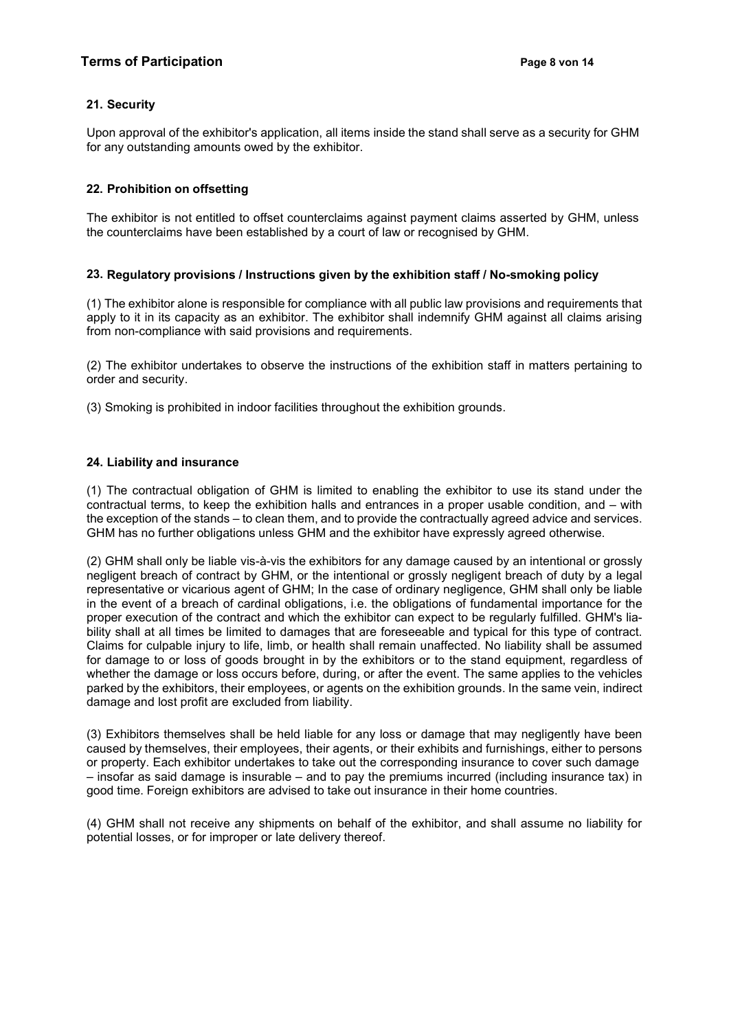# 21. Security

Upon approval of the exhibitor's application, all items inside the stand shall serve as a security for GHM for any outstanding amounts owed by the exhibitor.

# 22. Prohibition on offsetting

The exhibitor is not entitled to offset counterclaims against payment claims asserted by GHM, unless the counterclaims have been established by a court of law or recognised by GHM.

# 23. Regulatory provisions / Instructions given by the exhibition staff / No-smoking policy

(1) The exhibitor alone is responsible for compliance with all public law provisions and requirements that apply to it in its capacity as an exhibitor. The exhibitor shall indemnify GHM against all claims arising from non-compliance with said provisions and requirements.

(2) The exhibitor undertakes to observe the instructions of the exhibition staff in matters pertaining to order and security.

(3) Smoking is prohibited in indoor facilities throughout the exhibition grounds.

# 24. Liability and insurance

(1) The contractual obligation of GHM is limited to enabling the exhibitor to use its stand under the contractual terms, to keep the exhibition halls and entrances in a proper usable condition, and – with the exception of the stands – to clean them, and to provide the contractually agreed advice and services. GHM has no further obligations unless GHM and the exhibitor have expressly agreed otherwise.

(2) GHM shall only be liable vis-à-vis the exhibitors for any damage caused by an intentional or grossly negligent breach of contract by GHM, or the intentional or grossly negligent breach of duty by a legal representative or vicarious agent of GHM; In the case of ordinary negligence, GHM shall only be liable in the event of a breach of cardinal obligations, i.e. the obligations of fundamental importance for the proper execution of the contract and which the exhibitor can expect to be regularly fulfilled. GHM's liability shall at all times be limited to damages that are foreseeable and typical for this type of contract. Claims for culpable injury to life, limb, or health shall remain unaffected. No liability shall be assumed for damage to or loss of goods brought in by the exhibitors or to the stand equipment, regardless of whether the damage or loss occurs before, during, or after the event. The same applies to the vehicles parked by the exhibitors, their employees, or agents on the exhibition grounds. In the same vein, indirect damage and lost profit are excluded from liability.

(3) Exhibitors themselves shall be held liable for any loss or damage that may negligently have been caused by themselves, their employees, their agents, or their exhibits and furnishings, either to persons or property. Each exhibitor undertakes to take out the corresponding insurance to cover such damage – insofar as said damage is insurable – and to pay the premiums incurred (including insurance tax) in good time. Foreign exhibitors are advised to take out insurance in their home countries.

(4) GHM shall not receive any shipments on behalf of the exhibitor, and shall assume no liability for potential losses, or for improper or late delivery thereof.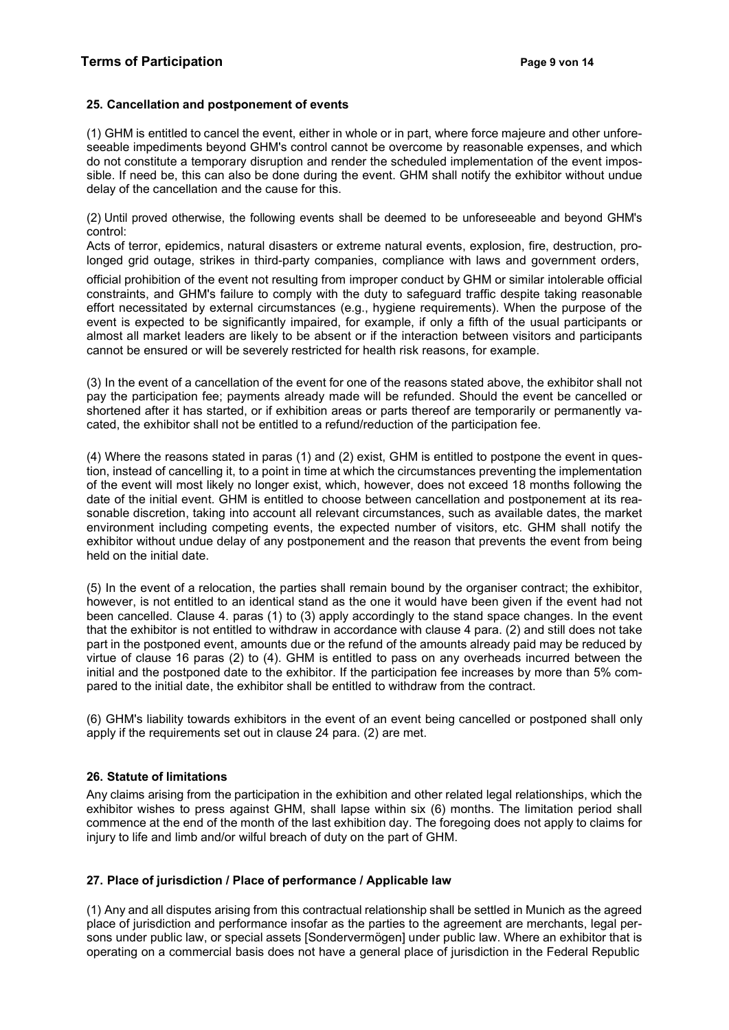## 25. Cancellation and postponement of events

(1) GHM is entitled to cancel the event, either in whole or in part, where force majeure and other unforeseeable impediments beyond GHM's control cannot be overcome by reasonable expenses, and which do not constitute a temporary disruption and render the scheduled implementation of the event impossible. If need be, this can also be done during the event. GHM shall notify the exhibitor without undue delay of the cancellation and the cause for this.

(2) Until proved otherwise, the following events shall be deemed to be unforeseeable and beyond GHM's control:

Acts of terror, epidemics, natural disasters or extreme natural events, explosion, fire, destruction, prolonged grid outage, strikes in third-party companies, compliance with laws and government orders,

official prohibition of the event not resulting from improper conduct by GHM or similar intolerable official constraints, and GHM's failure to comply with the duty to safeguard traffic despite taking reasonable effort necessitated by external circumstances (e.g., hygiene requirements). When the purpose of the event is expected to be significantly impaired, for example, if only a fifth of the usual participants or almost all market leaders are likely to be absent or if the interaction between visitors and participants cannot be ensured or will be severely restricted for health risk reasons, for example.

(3) In the event of a cancellation of the event for one of the reasons stated above, the exhibitor shall not pay the participation fee; payments already made will be refunded. Should the event be cancelled or shortened after it has started, or if exhibition areas or parts thereof are temporarily or permanently vacated, the exhibitor shall not be entitled to a refund/reduction of the participation fee.

(4) Where the reasons stated in paras (1) and (2) exist, GHM is entitled to postpone the event in question, instead of cancelling it, to a point in time at which the circumstances preventing the implementation of the event will most likely no longer exist, which, however, does not exceed 18 months following the date of the initial event. GHM is entitled to choose between cancellation and postponement at its reasonable discretion, taking into account all relevant circumstances, such as available dates, the market environment including competing events, the expected number of visitors, etc. GHM shall notify the exhibitor without undue delay of any postponement and the reason that prevents the event from being held on the initial date.

(5) In the event of a relocation, the parties shall remain bound by the organiser contract; the exhibitor, however, is not entitled to an identical stand as the one it would have been given if the event had not been cancelled. Clause 4. paras (1) to (3) apply accordingly to the stand space changes. In the event that the exhibitor is not entitled to withdraw in accordance with clause 4 para. (2) and still does not take part in the postponed event, amounts due or the refund of the amounts already paid may be reduced by virtue of clause 16 paras (2) to (4). GHM is entitled to pass on any overheads incurred between the initial and the postponed date to the exhibitor. If the participation fee increases by more than 5% compared to the initial date, the exhibitor shall be entitled to withdraw from the contract.

(6) GHM's liability towards exhibitors in the event of an event being cancelled or postponed shall only apply if the requirements set out in clause 24 para. (2) are met.

# 26. Statute of limitations

Any claims arising from the participation in the exhibition and other related legal relationships, which the exhibitor wishes to press against GHM, shall lapse within six (6) months. The limitation period shall commence at the end of the month of the last exhibition day. The foregoing does not apply to claims for injury to life and limb and/or wilful breach of duty on the part of GHM.

# 27. Place of jurisdiction / Place of performance / Applicable law

(1) Any and all disputes arising from this contractual relationship shall be settled in Munich as the agreed place of jurisdiction and performance insofar as the parties to the agreement are merchants, legal persons under public law, or special assets [Sondervermögen] under public law. Where an exhibitor that is operating on a commercial basis does not have a general place of jurisdiction in the Federal Republic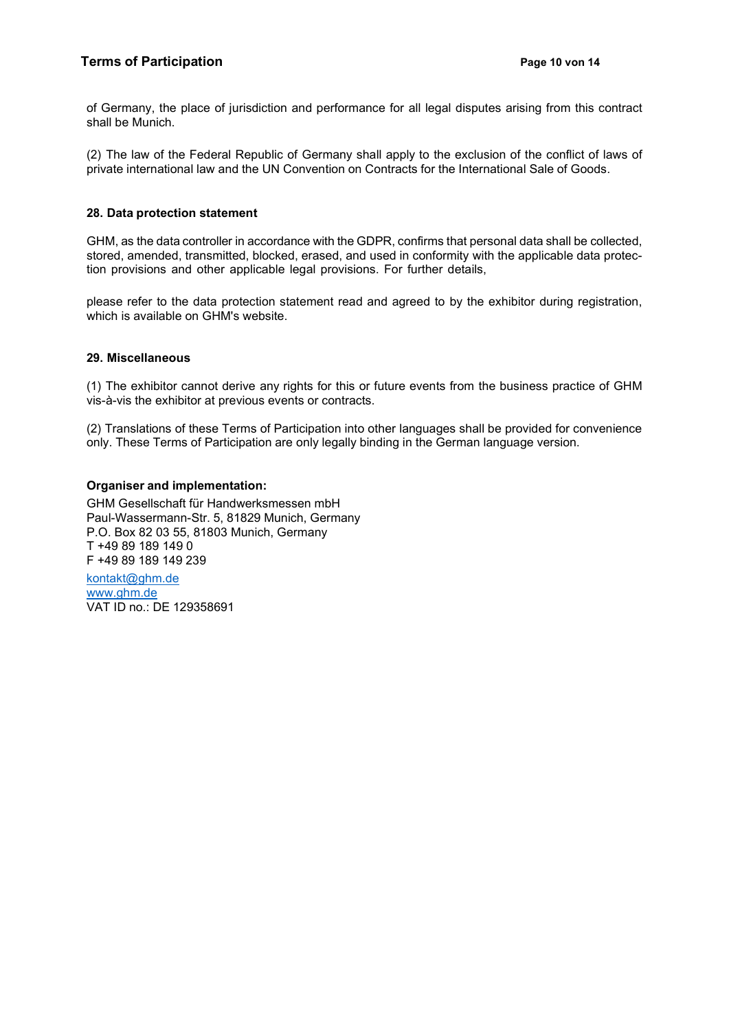of Germany, the place of jurisdiction and performance for all legal disputes arising from this contract shall be Munich.

(2) The law of the Federal Republic of Germany shall apply to the exclusion of the conflict of laws of private international law and the UN Convention on Contracts for the International Sale of Goods.

### 28. Data protection statement

GHM, as the data controller in accordance with the GDPR, confirms that personal data shall be collected, stored, amended, transmitted, blocked, erased, and used in conformity with the applicable data protection provisions and other applicable legal provisions. For further details,

please refer to the data protection statement read and agreed to by the exhibitor during registration, which is available on GHM's website.

### 29. Miscellaneous

(1) The exhibitor cannot derive any rights for this or future events from the business practice of GHM vis-à-vis the exhibitor at previous events or contracts.

(2) Translations of these Terms of Participation into other languages shall be provided for convenience only. These Terms of Participation are only legally binding in the German language version.

### Organiser and implementation:

GHM Gesellschaft für Handwerksmessen mbH Paul-Wassermann-Str. 5, 81829 Munich, Germany P.O. Box 82 03 55, 81803 Munich, Germany T +49 89 189 149 0 F +49 89 189 149 239

kontakt@ghm.de www.ghm.de VAT ID no.: DE 129358691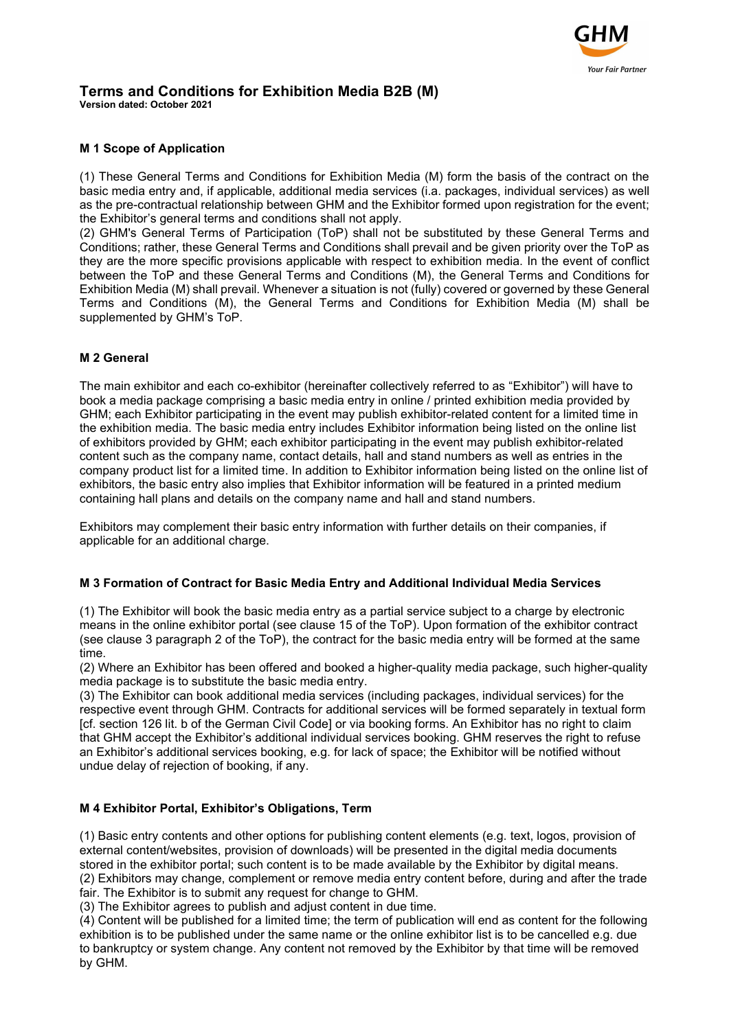

# Terms and Conditions for Exhibition Media B2B (M)

Version dated: October 2021

# M 1 Scope of Application

(1) These General Terms and Conditions for Exhibition Media (M) form the basis of the contract on the basic media entry and, if applicable, additional media services (i.a. packages, individual services) as well as the pre-contractual relationship between GHM and the Exhibitor formed upon registration for the event; the Exhibitor's general terms and conditions shall not apply.

(2) GHM's General Terms of Participation (ToP) shall not be substituted by these General Terms and Conditions; rather, these General Terms and Conditions shall prevail and be given priority over the ToP as they are the more specific provisions applicable with respect to exhibition media. In the event of conflict between the ToP and these General Terms and Conditions (M), the General Terms and Conditions for Exhibition Media (M) shall prevail. Whenever a situation is not (fully) covered or governed by these General Terms and Conditions (M), the General Terms and Conditions for Exhibition Media (M) shall be supplemented by GHM's ToP.

# M 2 General

The main exhibitor and each co-exhibitor (hereinafter collectively referred to as "Exhibitor") will have to book a media package comprising a basic media entry in online / printed exhibition media provided by GHM; each Exhibitor participating in the event may publish exhibitor-related content for a limited time in the exhibition media. The basic media entry includes Exhibitor information being listed on the online list of exhibitors provided by GHM; each exhibitor participating in the event may publish exhibitor-related content such as the company name, contact details, hall and stand numbers as well as entries in the company product list for a limited time. In addition to Exhibitor information being listed on the online list of exhibitors, the basic entry also implies that Exhibitor information will be featured in a printed medium containing hall plans and details on the company name and hall and stand numbers.

Exhibitors may complement their basic entry information with further details on their companies, if applicable for an additional charge.

# M 3 Formation of Contract for Basic Media Entry and Additional Individual Media Services

(1) The Exhibitor will book the basic media entry as a partial service subject to a charge by electronic means in the online exhibitor portal (see clause 15 of the ToP). Upon formation of the exhibitor contract (see clause 3 paragraph 2 of the ToP), the contract for the basic media entry will be formed at the same time.

(2) Where an Exhibitor has been offered and booked a higher-quality media package, such higher-quality media package is to substitute the basic media entry.

(3) The Exhibitor can book additional media services (including packages, individual services) for the respective event through GHM. Contracts for additional services will be formed separately in textual form [cf. section 126 lit. b of the German Civil Code] or via booking forms. An Exhibitor has no right to claim that GHM accept the Exhibitor's additional individual services booking. GHM reserves the right to refuse an Exhibitor's additional services booking, e.g. for lack of space; the Exhibitor will be notified without undue delay of rejection of booking, if any.

# M 4 Exhibitor Portal, Exhibitor's Obligations, Term

(1) Basic entry contents and other options for publishing content elements (e.g. text, logos, provision of external content/websites, provision of downloads) will be presented in the digital media documents stored in the exhibitor portal; such content is to be made available by the Exhibitor by digital means. (2) Exhibitors may change, complement or remove media entry content before, during and after the trade fair. The Exhibitor is to submit any request for change to GHM.

(3) The Exhibitor agrees to publish and adjust content in due time.

(4) Content will be published for a limited time; the term of publication will end as content for the following exhibition is to be published under the same name or the online exhibitor list is to be cancelled e.g. due to bankruptcy or system change. Any content not removed by the Exhibitor by that time will be removed by GHM.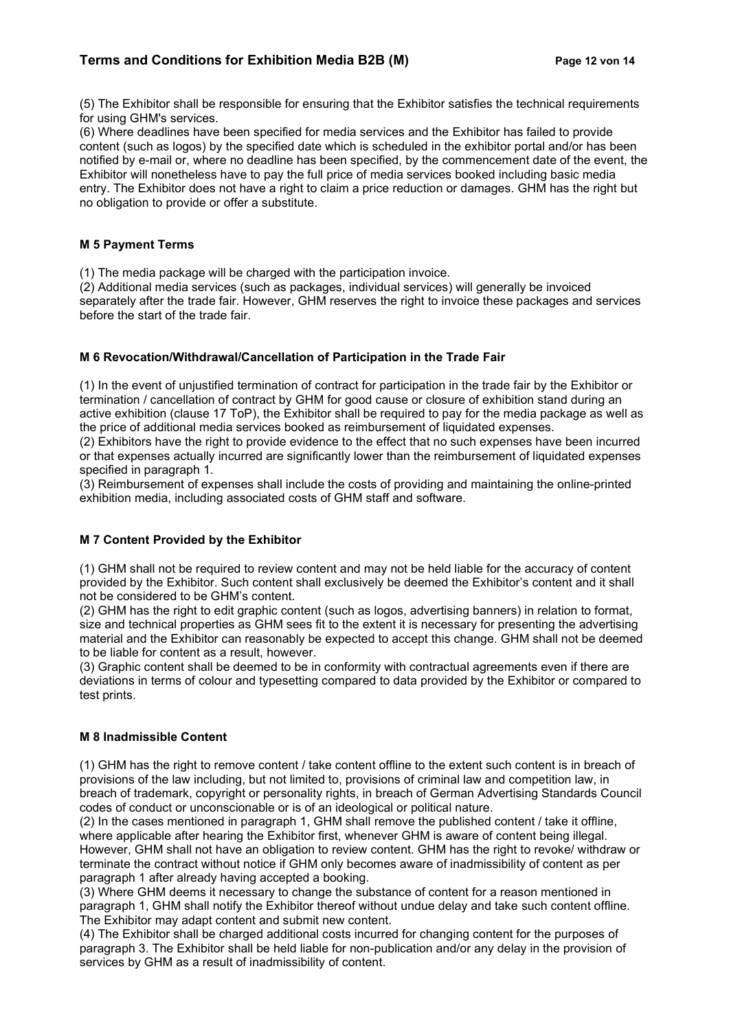# Terms and Conditions for Exhibition Media B2B (M) Page 12 von 14

(5) The Exhibitor shall be responsible for ensuring that the Exhibitor satisfies the technical requirements for using GHM's services.

(6) Where deadlines have been specified for media services and the Exhibitor has failed to provide content (such as logos) by the specified date which is scheduled in the exhibitor portal and/or has been notified by e-mail or, where no deadline has been specified, by the commencement date of the event, the Exhibitor will nonetheless have to pay the full price of media services booked including basic media entry. The Exhibitor does not have a right to claim a price reduction or damages. GHM has the right but no obligation to provide or offer a substitute.

### M 5 Payment Terms

(1) The media package will be charged with the participation invoice.

(2) Additional media services (such as packages, individual services) will generally be invoiced separately after the trade fair. However, GHM reserves the right to invoice these packages and services before the start of the trade fair.

### M 6 Revocation/Withdrawal/Cancellation of Participation in the Trade Fair

(1) In the event of unjustified termination of contract for participation in the trade fair by the Exhibitor or termination / cancellation of contract by GHM for good cause or closure of exhibition stand during an active exhibition (clause 17 ToP), the Exhibitor shall be required to pay for the media package as well as the price of additional media services booked as reimbursement of liquidated expenses.

(2) Exhibitors have the right to provide evidence to the effect that no such expenses have been incurred or that expenses actually incurred are significantly lower than the reimbursement of liquidated expenses specified in paragraph 1.

(3) Reimbursement of expenses shall include the costs of providing and maintaining the online-printed exhibition media, including associated costs of GHM staff and software.

# M 7 Content Provided by the Exhibitor

(1) GHM shall not be required to review content and may not be held liable for the accuracy of content provided by the Exhibitor. Such content shall exclusively be deemed the Exhibitor's content and it shall not be considered to be GHM's content.

(2) GHM has the right to edit graphic content (such as logos, advertising banners) in relation to format, size and technical properties as GHM sees fit to the extent it is necessary for presenting the advertising material and the Exhibitor can reasonably be expected to accept this change. GHM shall not be deemed to be liable for content as a result, however.

(3) Graphic content shall be deemed to be in conformity with contractual agreements even if there are deviations in terms of colour and typesetting compared to data provided by the Exhibitor or compared to test prints.

#### M 8 Inadmissible Content

(1) GHM has the right to remove content / take content offline to the extent such content is in breach of provisions of the law including, but not limited to, provisions of criminal law and competition law, in breach of trademark, copyright or personality rights, in breach of German Advertising Standards Council codes of conduct or unconscionable or is of an ideological or political nature.

(2) In the cases mentioned in paragraph 1, GHM shall remove the published content / take it offline, where applicable after hearing the Exhibitor first, whenever GHM is aware of content being illegal. However, GHM shall not have an obligation to review content. GHM has the right to revoke/ withdraw or terminate the contract without notice if GHM only becomes aware of inadmissibility of content as per paragraph 1 after already having accepted a booking.

(3) Where GHM deems it necessary to change the substance of content for a reason mentioned in paragraph 1, GHM shall notify the Exhibitor thereof without undue delay and take such content offline. The Exhibitor may adapt content and submit new content.

(4) The Exhibitor shall be charged additional costs incurred for changing content for the purposes of paragraph 3. The Exhibitor shall be held liable for non-publication and/or any delay in the provision of services by GHM as a result of inadmissibility of content.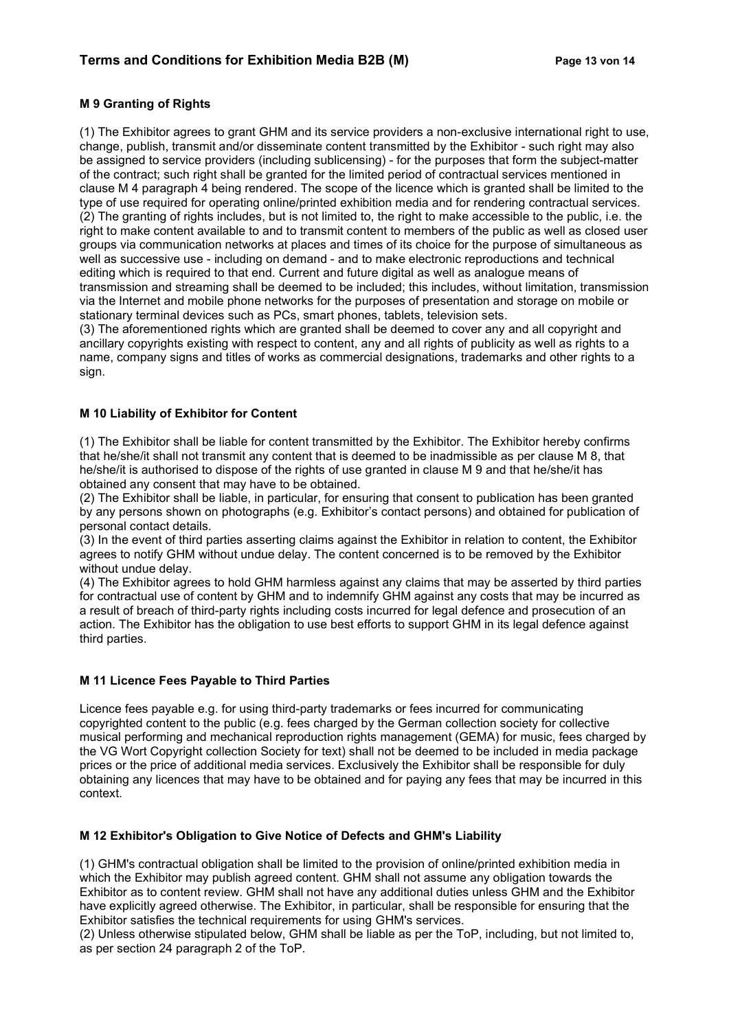# M 9 Granting of Rights

(1) The Exhibitor agrees to grant GHM and its service providers a non-exclusive international right to use, change, publish, transmit and/or disseminate content transmitted by the Exhibitor - such right may also be assigned to service providers (including sublicensing) - for the purposes that form the subject-matter of the contract; such right shall be granted for the limited period of contractual services mentioned in clause M 4 paragraph 4 being rendered. The scope of the licence which is granted shall be limited to the type of use required for operating online/printed exhibition media and for rendering contractual services. (2) The granting of rights includes, but is not limited to, the right to make accessible to the public, i.e. the right to make content available to and to transmit content to members of the public as well as closed user groups via communication networks at places and times of its choice for the purpose of simultaneous as well as successive use - including on demand - and to make electronic reproductions and technical editing which is required to that end. Current and future digital as well as analogue means of transmission and streaming shall be deemed to be included; this includes, without limitation, transmission via the Internet and mobile phone networks for the purposes of presentation and storage on mobile or stationary terminal devices such as PCs, smart phones, tablets, television sets.

(3) The aforementioned rights which are granted shall be deemed to cover any and all copyright and ancillary copyrights existing with respect to content, any and all rights of publicity as well as rights to a name, company signs and titles of works as commercial designations, trademarks and other rights to a sign.

### M 10 Liability of Exhibitor for Content

(1) The Exhibitor shall be liable for content transmitted by the Exhibitor. The Exhibitor hereby confirms that he/she/it shall not transmit any content that is deemed to be inadmissible as per clause M 8, that he/she/it is authorised to dispose of the rights of use granted in clause M 9 and that he/she/it has obtained any consent that may have to be obtained.

(2) The Exhibitor shall be liable, in particular, for ensuring that consent to publication has been granted by any persons shown on photographs (e.g. Exhibitor's contact persons) and obtained for publication of personal contact details.

(3) In the event of third parties asserting claims against the Exhibitor in relation to content, the Exhibitor agrees to notify GHM without undue delay. The content concerned is to be removed by the Exhibitor without undue delay.

(4) The Exhibitor agrees to hold GHM harmless against any claims that may be asserted by third parties for contractual use of content by GHM and to indemnify GHM against any costs that may be incurred as a result of breach of third-party rights including costs incurred for legal defence and prosecution of an action. The Exhibitor has the obligation to use best efforts to support GHM in its legal defence against third parties.

#### M 11 Licence Fees Payable to Third Parties

Licence fees payable e.g. for using third-party trademarks or fees incurred for communicating copyrighted content to the public (e.g. fees charged by the German collection society for collective musical performing and mechanical reproduction rights management (GEMA) for music, fees charged by the VG Wort Copyright collection Society for text) shall not be deemed to be included in media package prices or the price of additional media services. Exclusively the Exhibitor shall be responsible for duly obtaining any licences that may have to be obtained and for paying any fees that may be incurred in this context.

# M 12 Exhibitor's Obligation to Give Notice of Defects and GHM's Liability

(1) GHM's contractual obligation shall be limited to the provision of online/printed exhibition media in which the Exhibitor may publish agreed content. GHM shall not assume any obligation towards the Exhibitor as to content review. GHM shall not have any additional duties unless GHM and the Exhibitor have explicitly agreed otherwise. The Exhibitor, in particular, shall be responsible for ensuring that the Exhibitor satisfies the technical requirements for using GHM's services.

(2) Unless otherwise stipulated below, GHM shall be liable as per the ToP, including, but not limited to, as per section 24 paragraph 2 of the ToP.